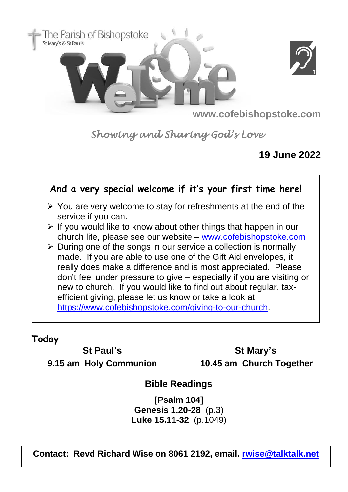



**www.cofebishopstoke.com**

*Showing and Sharing God's Love* 

## **19 June 2022**

### **And a very special welcome if it's your first time here!** ➢ You are very welcome to stay for refreshments at the end of the service if you can. ➢ If you would like to know about other things that happen in our church life, please see our website – [www.cofebishopstoke.com](http://www.cofebishopstoke.com/)  $\triangleright$  During one of the songs in our service a collection is normally made. If you are able to use one of the Gift Aid envelopes, it really does make a difference and is most appreciated. Please don't feel under pressure to give – especially if you are visiting or new to church. If you would like to find out about regular, taxefficient giving, please let us know or take a look at [https://www.cofebishopstoke.com/giving-to-our-church.](https://www.cofebishopstoke.com/giving-to-our-church)

### **Today**

### **St Paul's**

**9.15 am Holy Communion**

**St Mary's 10.45 am Church Together**

# **Bible Readings**

**[Psalm 104] Genesis 1.20-28** (p.3) **Luke 15.11-32** (p.1049)

**Contact: Revd Richard Wise on 8061 2192, email. [rwise@talktalk.net](mailto:rwise@talktalk.net)**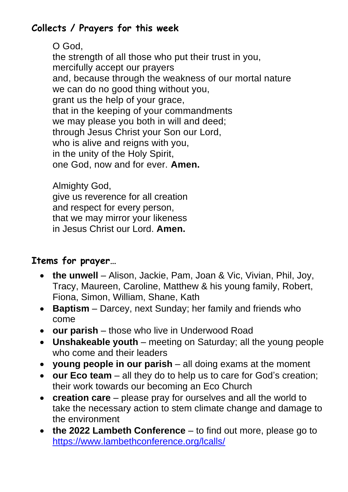# **Collects / Prayers for this week**

O God, the strength of all those who put their trust in you, mercifully accept our prayers and, because through the weakness of our mortal nature we can do no good thing without you, grant us the help of your grace, that in the keeping of your commandments we may please you both in will and deed; through Jesus Christ your Son our Lord, who is alive and reigns with you, in the unity of the Holy Spirit, one God, now and for ever. **Amen.**

Almighty God, give us reverence for all creation and respect for every person, that we may mirror your likeness in Jesus Christ our Lord. **Amen.**

## **Items for prayer…**

- **the unwell** Alison, Jackie, Pam, Joan & Vic, Vivian, Phil, Joy, Tracy, Maureen, Caroline, Matthew & his young family, Robert, Fiona, Simon, William, Shane, Kath
- **Baptism**  Darcey, next Sunday; her family and friends who come
- **our parish**  those who live in Underwood Road
- **Unshakeable youth**  meeting on Saturday; all the young people who come and their leaders
- **young people in our parish** all doing exams at the moment
- **our Eco team**  all they do to help us to care for God's creation; their work towards our becoming an Eco Church
- **creation care** please pray for ourselves and all the world to take the necessary action to stem climate change and damage to the environment
- **the 2022 Lambeth Conference**  to find out more, please go to <https://www.lambethconference.org/lcalls/>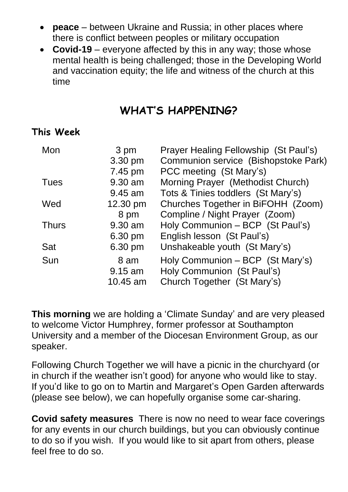- **peace**  between Ukraine and Russia; in other places where there is conflict between peoples or military occupation
- **Covid-19** everyone affected by this in any way; those whose mental health is being challenged; those in the Developing World and vaccination equity; the life and witness of the church at this time

# **WHAT'S HAPPENING?**

#### **This Week**

| Mon  |              | 3 pm       | Prayer Healing Fellowship (St Paul's) |
|------|--------------|------------|---------------------------------------|
|      |              | 3.30 pm    | Communion service (Bishopstoke Park)  |
|      |              | 7.45 pm    | PCC meeting (St Mary's)               |
| Tues |              | 9.30 am    | Morning Prayer (Methodist Church)     |
|      |              | $9.45$ am  | Tots & Tinies toddlers (St Mary's)    |
| Wed  |              | 12.30 pm   | Churches Together in BiFOHH (Zoom)    |
|      |              | 8 pm       | Compline / Night Prayer (Zoom)        |
|      | <b>Thurs</b> | 9.30 am    | Holy Communion - BCP (St Paul's)      |
|      |              | 6.30 pm    | English lesson (St Paul's)            |
| Sat  |              | 6.30 pm    | Unshakeable youth (St Mary's)         |
| Sun  |              | 8 am       | Holy Communion – BCP (St Mary's)      |
|      |              | $9.15$ am  | Holy Communion (St Paul's)            |
|      |              | $10.45$ am | Church Together (St Mary's)           |
|      |              |            |                                       |

**This morning** we are holding a 'Climate Sunday' and are very pleased to welcome Victor Humphrey, former professor at Southampton University and a member of the Diocesan Environment Group, as our speaker.

Following Church Together we will have a picnic in the churchyard (or in church if the weather isn't good) for anyone who would like to stay. If you'd like to go on to Martin and Margaret's Open Garden afterwards (please see below), we can hopefully organise some car-sharing.

**Covid safety measures** There is now no need to wear face coverings for any events in our church buildings, but you can obviously continue to do so if you wish. If you would like to sit apart from others, please feel free to do so.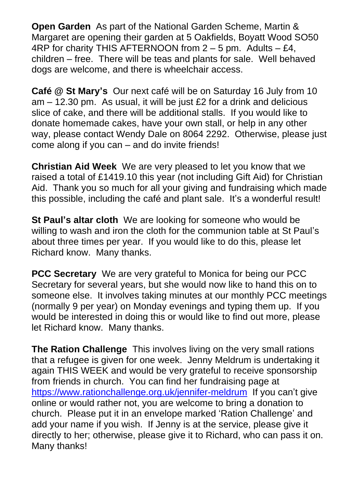**Open Garden** As part of the National Garden Scheme, Martin & Margaret are opening their garden at 5 Oakfields, Boyatt Wood SO50 4RP for charity THIS AFTERNOON from  $2 - 5$  pm. Adults  $- \, \text{E4}$ , children – free. There will be teas and plants for sale. Well behaved dogs are welcome, and there is wheelchair access.

**Café @ St Mary's** Our next café will be on Saturday 16 July from 10 am – 12.30 pm.As usual, it will be just £2 for a drink and delicious slice of cake, and there will be additional stalls. If you would like to donate homemade cakes, have your own stall, or help in any other way, please contact Wendy Dale on 8064 2292. Otherwise, please just come along if you can – and do invite friends!

**Christian Aid Week** We are very pleased to let you know that we raised a total of £1419.10 this year (not including Gift Aid) for Christian Aid. Thank you so much for all your giving and fundraising which made this possible, including the café and plant sale. It's a wonderful result!

**St Paul's altar cloth** We are looking for someone who would be willing to wash and iron the cloth for the communion table at St Paul's about three times per year. If you would like to do this, please let Richard know. Many thanks.

**PCC Secretary** We are very grateful to Monica for being our PCC Secretary for several years, but she would now like to hand this on to someone else. It involves taking minutes at our monthly PCC meetings (normally 9 per year) on Monday evenings and typing them up. If you would be interested in doing this or would like to find out more, please let Richard know. Many thanks.

**The Ration Challenge** This involves living on the very small rations that a refugee is given for one week. Jenny Meldrum is undertaking it again THIS WEEK and would be very grateful to receive sponsorship from friends in church. You can find her fundraising page at <https://www.rationchallenge.org.uk/jennifer-meldrum>If you can't give online or would rather not, you are welcome to bring a donation to church. Please put it in an envelope marked 'Ration Challenge' and add your name if you wish. If Jenny is at the service, please give it directly to her; otherwise, please give it to Richard, who can pass it on. Many thanks!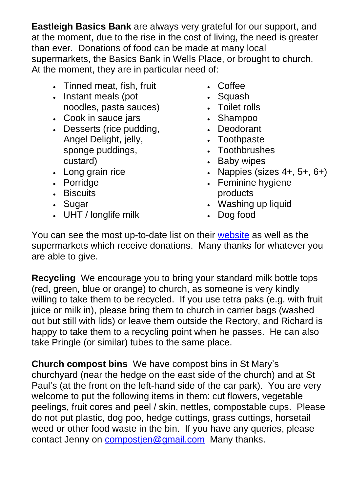**Eastleigh Basics Bank** are always very grateful for our support, and at the moment, due to the rise in the cost of living, the need is greater than ever. Donations of food can be made at many local supermarkets, the Basics Bank in Wells Place, or brought to church. At the moment, they are in particular need of:

- Tinned meat, fish, fruit
- Instant meals (pot noodles, pasta sauces)
- Cook in sauce jars
- Desserts (rice pudding, Angel Delight, jelly, sponge puddings, custard)
- Long grain rice
- Porridge
- Biscuits
- Sugar
- UHT / longlife milk
- Coffee
- Squash
- Toilet rolls
- Shampoo
- Deodorant
- Toothpaste
- Toothbrushes
- Baby wipes
- Nappies (sizes  $4+, 5+, 6+)$
- Feminine hygiene products
- Washing up liquid
- Dog food

You can see the most up-to-date list on their [website](https://eastleighbasicsbank.co.uk/) as well as the supermarkets which receive donations. Many thanks for whatever you are able to give.

**Recycling** We encourage you to bring your standard milk bottle tops (red, green, blue or orange) to church, as someone is very kindly willing to take them to be recycled.If you use tetra paks (e.g. with fruit juice or milk in), please bring them to church in carrier bags (washed out but still with lids) or leave them outside the Rectory, and Richard is happy to take them to a recycling point when he passes.He can also take Pringle (or similar) tubes to the same place.

**Church compost bins** We have compost bins in St Mary's churchyard (near the hedge on the east side of the church) and at St Paul's (at the front on the left-hand side of the car park). You are very welcome to put the following items in them: cut flowers, vegetable peelings, fruit cores and peel / skin, nettles, compostable cups. Please do not put plastic, dog poo, hedge cuttings, grass cuttings, horsetail weed or other food waste in the bin. If you have any queries, please contact Jenny on [compostjen@gmail.com](mailto:compostjen@gmail.com) Many thanks.